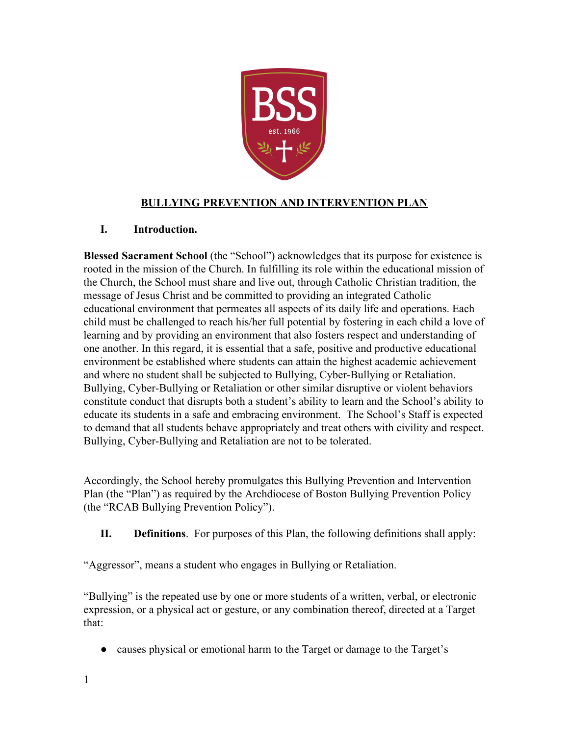

# **BULLYING PREVENTION AND INTERVENTION PLAN**

#### **I. Introduction.**

**Blessed Sacrament School** (the "School") acknowledges that its purpose for existence is rooted in the mission of the Church. In fulfilling its role within the educational mission of the Church, the School must share and live out, through Catholic Christian tradition, the message of Jesus Christ and be committed to providing an integrated Catholic educational environment that permeates all aspects of its daily life and operations. Each child must be challenged to reach his/her full potential by fostering in each child a love of learning and by providing an environment that also fosters respect and understanding of one another. In this regard, it is essential that a safe, positive and productive educational environment be established where students can attain the highest academic achievement and where no student shall be subjected to Bullying, Cyber-Bullying or Retaliation. Bullying, Cyber-Bullying or Retaliation or other similar disruptive or violent behaviors constitute conduct that disrupts both a student's ability to learn and the School's ability to educate its students in a safe and embracing environment. The School's Staff is expected to demand that all students behave appropriately and treat others with civility and respect. Bullying, Cyber-Bullying and Retaliation are not to be tolerated.

Accordingly, the School hereby promulgates this Bullying Prevention and Intervention Plan (the "Plan") as required by the Archdiocese of Boston Bullying Prevention Policy (the "RCAB Bullying Prevention Policy").

**II. Definitions**. For purposes of this Plan, the following definitions shall apply:

"Aggressor", means a student who engages in Bullying or Retaliation.

"Bullying" is the repeated use by one or more students of a written, verbal, or electronic expression, or a physical act or gesture, or any combination thereof, directed at a Target that:

• causes physical or emotional harm to the Target or damage to the Target's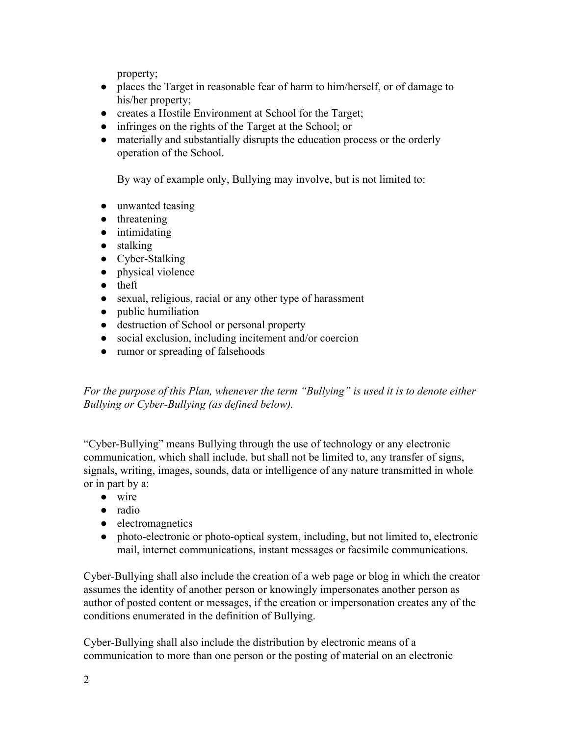property;

- places the Target in reasonable fear of harm to him/herself, or of damage to his/her property;
- creates a Hostile Environment at School for the Target;
- infringes on the rights of the Target at the School; or
- materially and substantially disrupts the education process or the orderly operation of the School.

By way of example only, Bullying may involve, but is not limited to:

- unwanted teasing
- threatening
- intimidating
- stalking
- Cyber-Stalking
- physical violence
- theft
- sexual, religious, racial or any other type of harassment
- public humiliation
- destruction of School or personal property
- social exclusion, including incitement and/or coercion
- rumor or spreading of falsehoods

*For the purpose of this Plan, whenever the term "Bullying" is used it is to denote either Bullying or Cyber-Bullying (as defined below).*

"Cyber-Bullying" means Bullying through the use of technology or any electronic communication, which shall include, but shall not be limited to, any transfer of signs, signals, writing, images, sounds, data or intelligence of any nature transmitted in whole or in part by a:

- wire
- radio
- electromagnetics
- photo-electronic or photo-optical system, including, but not limited to, electronic mail, internet communications, instant messages or facsimile communications.

Cyber-Bullying shall also include the creation of a web page or blog in which the creator assumes the identity of another person or knowingly impersonates another person as author of posted content or messages, if the creation or impersonation creates any of the conditions enumerated in the definition of Bullying.

Cyber-Bullying shall also include the distribution by electronic means of a communication to more than one person or the posting of material on an electronic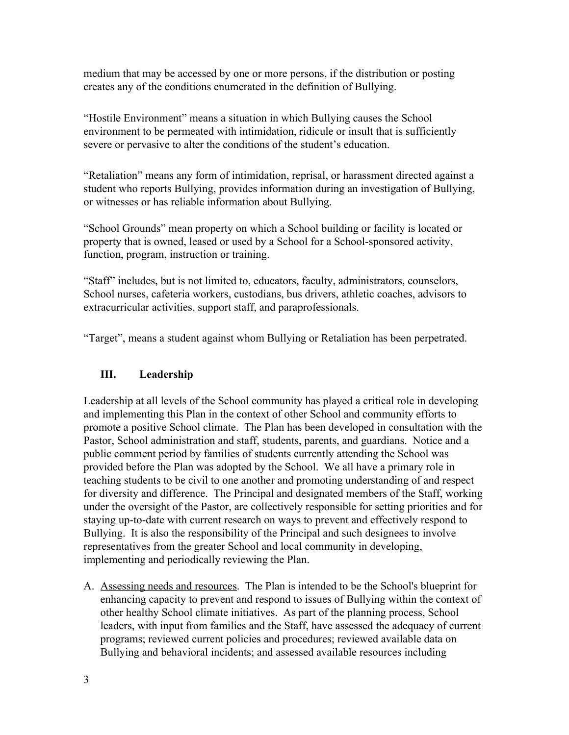medium that may be accessed by one or more persons, if the distribution or posting creates any of the conditions enumerated in the definition of Bullying.

"Hostile Environment" means a situation in which Bullying causes the School environment to be permeated with intimidation, ridicule or insult that is sufficiently severe or pervasive to alter the conditions of the student's education.

"Retaliation" means any form of intimidation, reprisal, or harassment directed against a student who reports Bullying, provides information during an investigation of Bullying, or witnesses or has reliable information about Bullying.

"School Grounds" mean property on which a School building or facility is located or property that is owned, leased or used by a School for a School-sponsored activity, function, program, instruction or training.

"Staff" includes, but is not limited to, educators, faculty, administrators, counselors, School nurses, cafeteria workers, custodians, bus drivers, athletic coaches, advisors to extracurricular activities, support staff, and paraprofessionals.

"Target", means a student against whom Bullying or Retaliation has been perpetrated.

# **III. Leadership**

Leadership at all levels of the School community has played a critical role in developing and implementing this Plan in the context of other School and community efforts to promote a positive School climate. The Plan has been developed in consultation with the Pastor, School administration and staff, students, parents, and guardians. Notice and a public comment period by families of students currently attending the School was provided before the Plan was adopted by the School. We all have a primary role in teaching students to be civil to one another and promoting understanding of and respect for diversity and difference. The Principal and designated members of the Staff, working under the oversight of the Pastor, are collectively responsible for setting priorities and for staying up-to-date with current research on ways to prevent and effectively respond to Bullying. It is also the responsibility of the Principal and such designees to involve representatives from the greater School and local community in developing, implementing and periodically reviewing the Plan.

A. Assessing needs and resources. The Plan is intended to be the School's blueprint for enhancing capacity to prevent and respond to issues of Bullying within the context of other healthy School climate initiatives. As part of the planning process, School leaders, with input from families and the Staff, have assessed the adequacy of current programs; reviewed current policies and procedures; reviewed available data on Bullying and behavioral incidents; and assessed available resources including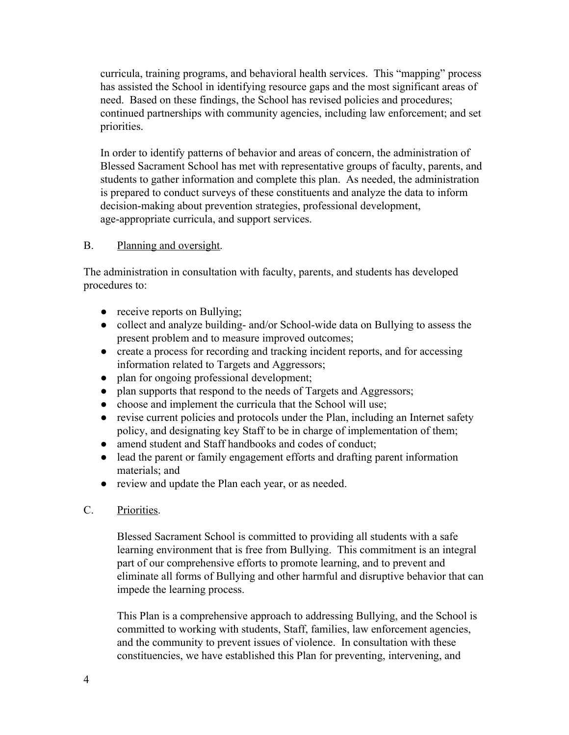curricula, training programs, and behavioral health services. This "mapping" process has assisted the School in identifying resource gaps and the most significant areas of need. Based on these findings, the School has revised policies and procedures; continued partnerships with community agencies, including law enforcement; and set priorities.

In order to identify patterns of behavior and areas of concern, the administration of Blessed Sacrament School has met with representative groups of faculty, parents, and students to gather information and complete this plan. As needed, the administration is prepared to conduct surveys of these constituents and analyze the data to inform decision-making about prevention strategies, professional development, age-appropriate curricula, and support services.

#### B. Planning and oversight.

The administration in consultation with faculty, parents, and students has developed procedures to:

- receive reports on Bullying;
- collect and analyze building- and/or School-wide data on Bullying to assess the present problem and to measure improved outcomes;
- create a process for recording and tracking incident reports, and for accessing information related to Targets and Aggressors;
- plan for ongoing professional development;
- plan supports that respond to the needs of Targets and Aggressors;
- choose and implement the curricula that the School will use;
- revise current policies and protocols under the Plan, including an Internet safety policy, and designating key Staff to be in charge of implementation of them;
- amend student and Staff handbooks and codes of conduct;
- lead the parent or family engagement efforts and drafting parent information materials; and
- review and update the Plan each year, or as needed.
- C. Priorities.

Blessed Sacrament School is committed to providing all students with a safe learning environment that is free from Bullying. This commitment is an integral part of our comprehensive efforts to promote learning, and to prevent and eliminate all forms of Bullying and other harmful and disruptive behavior that can impede the learning process.

This Plan is a comprehensive approach to addressing Bullying, and the School is committed to working with students, Staff, families, law enforcement agencies, and the community to prevent issues of violence. In consultation with these constituencies, we have established this Plan for preventing, intervening, and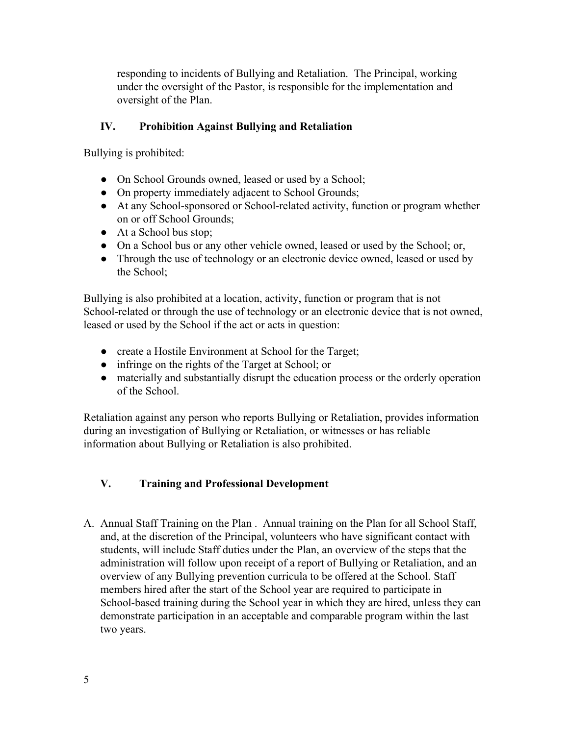responding to incidents of Bullying and Retaliation. The Principal, working under the oversight of the Pastor, is responsible for the implementation and oversight of the Plan.

## **IV. Prohibition Against Bullying and Retaliation**

Bullying is prohibited:

- On School Grounds owned, leased or used by a School;
- On property immediately adjacent to School Grounds;
- At any School-sponsored or School-related activity, function or program whether on or off School Grounds;
- At a School bus stop;
- On a School bus or any other vehicle owned, leased or used by the School; or,
- Through the use of technology or an electronic device owned, leased or used by the School;

Bullying is also prohibited at a location, activity, function or program that is not School-related or through the use of technology or an electronic device that is not owned, leased or used by the School if the act or acts in question:

- create a Hostile Environment at School for the Target;
- infringe on the rights of the Target at School; or
- materially and substantially disrupt the education process or the orderly operation of the School.

Retaliation against any person who reports Bullying or Retaliation, provides information during an investigation of Bullying or Retaliation, or witnesses or has reliable information about Bullying or Retaliation is also prohibited.

## **V. Training and Professional Development**

A. Annual Staff Training on the Plan. Annual training on the Plan for all School Staff, and, at the discretion of the Principal, volunteers who have significant contact with students, will include Staff duties under the Plan, an overview of the steps that the administration will follow upon receipt of a report of Bullying or Retaliation, and an overview of any Bullying prevention curricula to be offered at the School. Staff members hired after the start of the School year are required to participate in School-based training during the School year in which they are hired, unless they can demonstrate participation in an acceptable and comparable program within the last two years.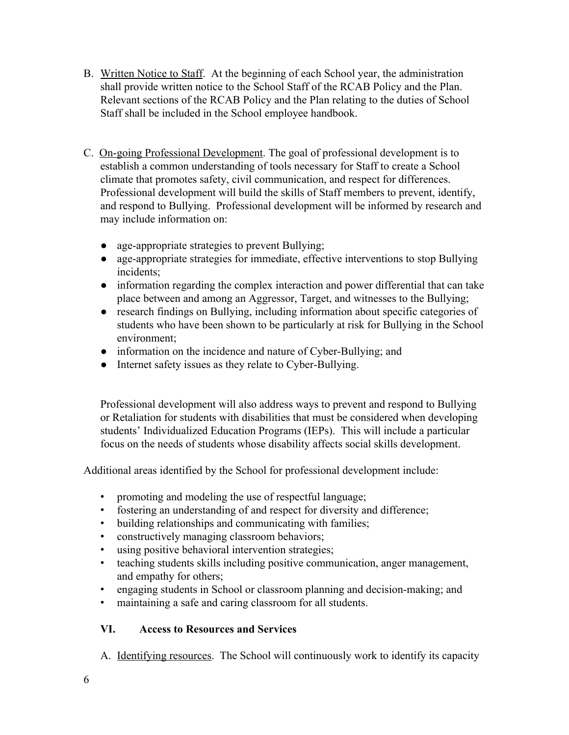- B. Written Notice to Staff. At the beginning of each School year, the administration shall provide written notice to the School Staff of the RCAB Policy and the Plan. Relevant sections of the RCAB Policy and the Plan relating to the duties of School Staff shall be included in the School employee handbook.
- C. On-going Professional Development. The goal of professional development is to establish a common understanding of tools necessary for Staff to create a School climate that promotes safety, civil communication, and respect for differences. Professional development will build the skills of Staff members to prevent, identify, and respond to Bullying. Professional development will be informed by research and may include information on:
	- age-appropriate strategies to prevent Bullying;
	- age-appropriate strategies for immediate, effective interventions to stop Bullying incidents;
	- information regarding the complex interaction and power differential that can take place between and among an Aggressor, Target, and witnesses to the Bullying;
	- research findings on Bullying, including information about specific categories of students who have been shown to be particularly at risk for Bullying in the School environment;
	- information on the incidence and nature of Cyber-Bullying; and
	- Internet safety issues as they relate to Cyber-Bullying.

Professional development will also address ways to prevent and respond to Bullying or Retaliation for students with disabilities that must be considered when developing students' Individualized Education Programs (IEPs). This will include a particular focus on the needs of students whose disability affects social skills development.

Additional areas identified by the School for professional development include:

- promoting and modeling the use of respectful language;
- fostering an understanding of and respect for diversity and difference;
- building relationships and communicating with families;
- constructively managing classroom behaviors;
- using positive behavioral intervention strategies;
- teaching students skills including positive communication, anger management, and empathy for others;
- engaging students in School or classroom planning and decision-making; and
- maintaining a safe and caring classroom for all students.

## **VI. Access to Resources and Services**

A. Identifying resources. The School will continuously work to identify its capacity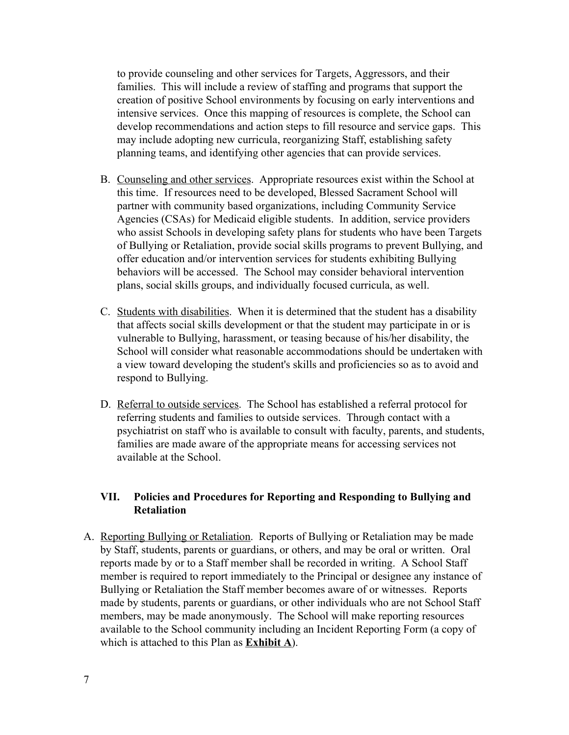to provide counseling and other services for Targets, Aggressors, and their families. This will include a review of staffing and programs that support the creation of positive School environments by focusing on early interventions and intensive services. Once this mapping of resources is complete, the School can develop recommendations and action steps to fill resource and service gaps. This may include adopting new curricula, reorganizing Staff, establishing safety planning teams, and identifying other agencies that can provide services.

- B. Counseling and other services. Appropriate resources exist within the School at this time. If resources need to be developed, Blessed Sacrament School will partner with community based organizations, including Community Service Agencies (CSAs) for Medicaid eligible students. In addition, service providers who assist Schools in developing safety plans for students who have been Targets of Bullying or Retaliation, provide social skills programs to prevent Bullying, and offer education and/or intervention services for students exhibiting Bullying behaviors will be accessed. The School may consider behavioral intervention plans, social skills groups, and individually focused curricula, as well.
- C. Students with disabilities. When it is determined that the student has a disability that affects social skills development or that the student may participate in or is vulnerable to Bullying, harassment, or teasing because of his/her disability, the School will consider what reasonable accommodations should be undertaken with a view toward developing the student's skills and proficiencies so as to avoid and respond to Bullying.
- D. Referral to outside services. The School has established a referral protocol for referring students and families to outside services. Through contact with a psychiatrist on staff who is available to consult with faculty, parents, and students, families are made aware of the appropriate means for accessing services not available at the School.

#### **VII. Policies and Procedures for Reporting and Responding to Bullying and Retaliation**

A. Reporting Bullying or Retaliation. Reports of Bullying or Retaliation may be made by Staff, students, parents or guardians, or others, and may be oral or written. Oral reports made by or to a Staff member shall be recorded in writing. A School Staff member is required to report immediately to the Principal or designee any instance of Bullying or Retaliation the Staff member becomes aware of or witnesses. Reports made by students, parents or guardians, or other individuals who are not School Staff members, may be made anonymously. The School will make reporting resources available to the School community including an Incident Reporting Form (a copy of which is attached to this Plan as **Exhibit A**).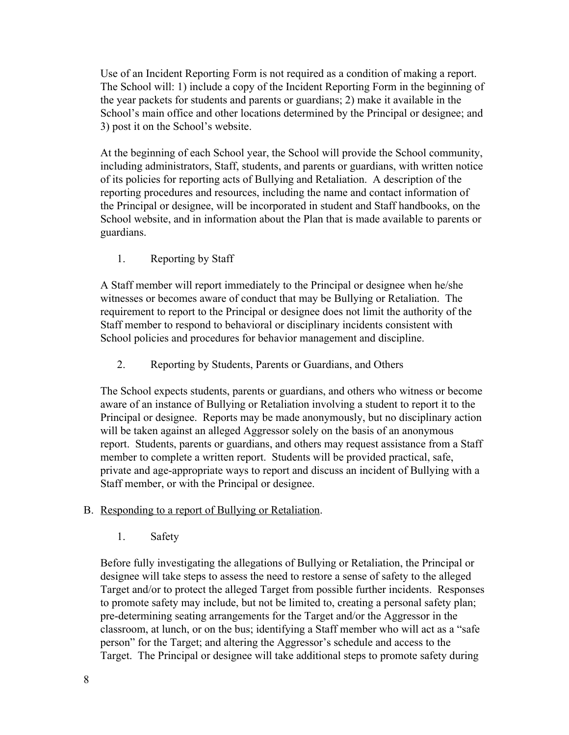Use of an Incident Reporting Form is not required as a condition of making a report. The School will: 1) include a copy of the Incident Reporting Form in the beginning of the year packets for students and parents or guardians; 2) make it available in the School's main office and other locations determined by the Principal or designee; and 3) post it on the School's website.

At the beginning of each School year, the School will provide the School community, including administrators, Staff, students, and parents or guardians, with written notice of its policies for reporting acts of Bullying and Retaliation. A description of the reporting procedures and resources, including the name and contact information of the Principal or designee, will be incorporated in student and Staff handbooks, on the School website, and in information about the Plan that is made available to parents or guardians.

1. Reporting by Staff

A Staff member will report immediately to the Principal or designee when he/she witnesses or becomes aware of conduct that may be Bullying or Retaliation. The requirement to report to the Principal or designee does not limit the authority of the Staff member to respond to behavioral or disciplinary incidents consistent with School policies and procedures for behavior management and discipline.

2. Reporting by Students, Parents or Guardians, and Others

The School expects students, parents or guardians, and others who witness or become aware of an instance of Bullying or Retaliation involving a student to report it to the Principal or designee. Reports may be made anonymously, but no disciplinary action will be taken against an alleged Aggressor solely on the basis of an anonymous report. Students, parents or guardians, and others may request assistance from a Staff member to complete a written report. Students will be provided practical, safe, private and age-appropriate ways to report and discuss an incident of Bullying with a Staff member, or with the Principal or designee.

#### B. Responding to a report of Bullying or Retaliation.

1. Safety

Before fully investigating the allegations of Bullying or Retaliation, the Principal or designee will take steps to assess the need to restore a sense of safety to the alleged Target and/or to protect the alleged Target from possible further incidents. Responses to promote safety may include, but not be limited to, creating a personal safety plan; pre-determining seating arrangements for the Target and/or the Aggressor in the classroom, at lunch, or on the bus; identifying a Staff member who will act as a "safe person" for the Target; and altering the Aggressor's schedule and access to the Target. The Principal or designee will take additional steps to promote safety during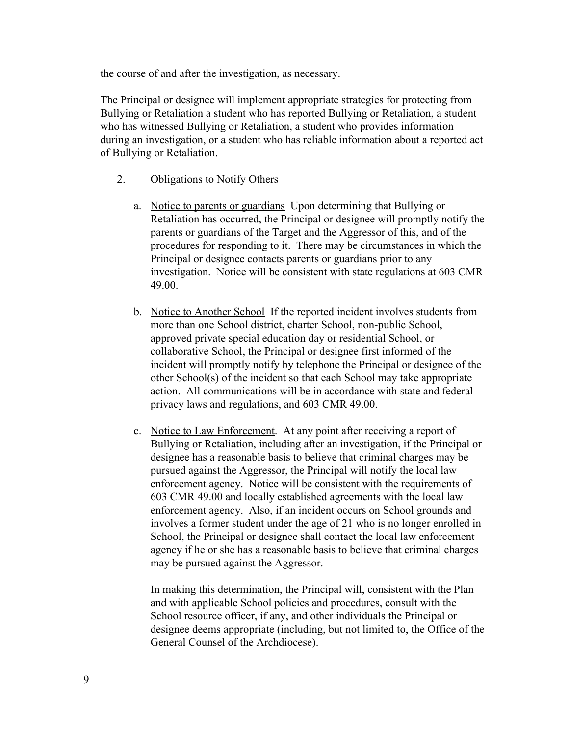the course of and after the investigation, as necessary.

The Principal or designee will implement appropriate strategies for protecting from Bullying or Retaliation a student who has reported Bullying or Retaliation, a student who has witnessed Bullying or Retaliation, a student who provides information during an investigation, or a student who has reliable information about a reported act of Bullying or Retaliation.

- 2. Obligations to Notify Others
	- a. Notice to parents or guardiansUpon determining that Bullying or Retaliation has occurred, the Principal or designee will promptly notify the parents or guardians of the Target and the Aggressor of this, and of the procedures for responding to it. There may be circumstances in which the Principal or designee contacts parents or guardians prior to any investigation. Notice will be consistent with state regulations at 603 CMR 49.00.
	- b. Notice to Another School If the reported incident involves students from more than one School district, charter School, non-public School, approved private special education day or residential School, or collaborative School, the Principal or designee first informed of the incident will promptly notify by telephone the Principal or designee of the other School(s) of the incident so that each School may take appropriate action. All communications will be in accordance with state and federal privacy laws and regulations, and 603 CMR 49.00.
	- c. Notice to Law Enforcement.At any point after receiving a report of Bullying or Retaliation, including after an investigation, if the Principal or designee has a reasonable basis to believe that criminal charges may be pursued against the Aggressor, the Principal will notify the local law enforcement agency. Notice will be consistent with the requirements of 603 CMR 49.00 and locally established agreements with the local law enforcement agency. Also, if an incident occurs on School grounds and involves a former student under the age of 21 who is no longer enrolled in School, the Principal or designee shall contact the local law enforcement agency if he or she has a reasonable basis to believe that criminal charges may be pursued against the Aggressor.

In making this determination, the Principal will, consistent with the Plan and with applicable School policies and procedures, consult with the School resource officer, if any, and other individuals the Principal or designee deems appropriate (including, but not limited to, the Office of the General Counsel of the Archdiocese).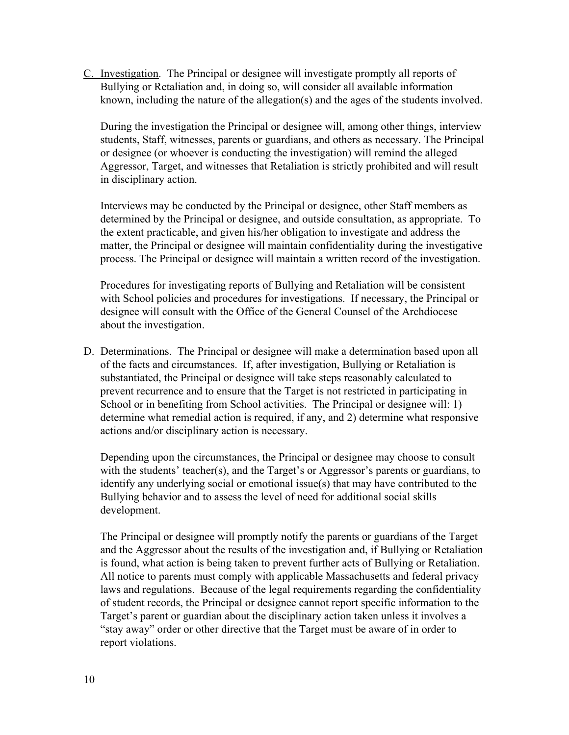C. Investigation. The Principal or designee will investigate promptly all reports of Bullying or Retaliation and, in doing so, will consider all available information known, including the nature of the allegation(s) and the ages of the students involved.

During the investigation the Principal or designee will, among other things, interview students, Staff, witnesses, parents or guardians, and others as necessary. The Principal or designee (or whoever is conducting the investigation) will remind the alleged Aggressor, Target, and witnesses that Retaliation is strictly prohibited and will result in disciplinary action.

Interviews may be conducted by the Principal or designee, other Staff members as determined by the Principal or designee, and outside consultation, as appropriate. To the extent practicable, and given his/her obligation to investigate and address the matter, the Principal or designee will maintain confidentiality during the investigative process. The Principal or designee will maintain a written record of the investigation.

Procedures for investigating reports of Bullying and Retaliation will be consistent with School policies and procedures for investigations. If necessary, the Principal or designee will consult with the Office of the General Counsel of the Archdiocese about the investigation.

D. Determinations. The Principal or designee will make a determination based upon all of the facts and circumstances. If, after investigation, Bullying or Retaliation is substantiated, the Principal or designee will take steps reasonably calculated to prevent recurrence and to ensure that the Target is not restricted in participating in School or in benefiting from School activities. The Principal or designee will: 1) determine what remedial action is required, if any, and 2) determine what responsive actions and/or disciplinary action is necessary.

Depending upon the circumstances, the Principal or designee may choose to consult with the students' teacher(s), and the Target's or Aggressor's parents or guardians, to identify any underlying social or emotional issue(s) that may have contributed to the Bullying behavior and to assess the level of need for additional social skills development.

The Principal or designee will promptly notify the parents or guardians of the Target and the Aggressor about the results of the investigation and, if Bullying or Retaliation is found, what action is being taken to prevent further acts of Bullying or Retaliation. All notice to parents must comply with applicable Massachusetts and federal privacy laws and regulations. Because of the legal requirements regarding the confidentiality of student records, the Principal or designee cannot report specific information to the Target's parent or guardian about the disciplinary action taken unless it involves a "stay away" order or other directive that the Target must be aware of in order to report violations.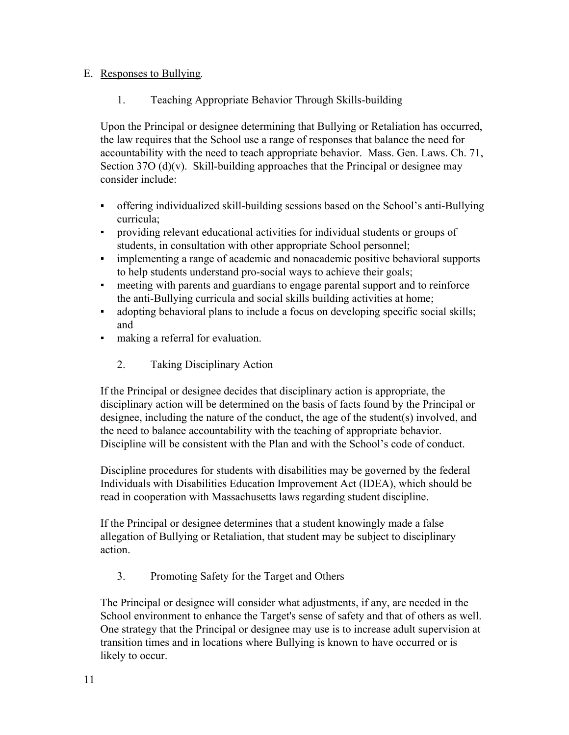#### E. Responses to Bullying*.*

1. Teaching Appropriate Behavior Through Skills-building

Upon the Principal or designee determining that Bullying or Retaliation has occurred, the law requires that the School use a range of responses that balance the need for accountability with the need to teach appropriate behavior. Mass. Gen. Laws. Ch. 71, Section 37O (d)(v). Skill-building approaches that the Principal or designee may consider include:

- offering individualized skill-building sessions based on the School's anti-Bullying curricula;
- providing relevant educational activities for individual students or groups of students, in consultation with other appropriate School personnel;
- implementing a range of academic and nonacademic positive behavioral supports to help students understand pro-social ways to achieve their goals;
- meeting with parents and guardians to engage parental support and to reinforce the anti-Bullying curricula and social skills building activities at home;
- adopting behavioral plans to include a focus on developing specific social skills; and
- making a referral for evaluation.
	- 2. Taking Disciplinary Action

If the Principal or designee decides that disciplinary action is appropriate, the disciplinary action will be determined on the basis of facts found by the Principal or designee, including the nature of the conduct, the age of the student(s) involved, and the need to balance accountability with the teaching of appropriate behavior. Discipline will be consistent with the Plan and with the School's code of conduct.

Discipline procedures for students with disabilities may be governed by the federal Individuals with Disabilities Education Improvement Act (IDEA), which should be read in cooperation with Massachusetts laws regarding student discipline.

If the Principal or designee determines that a student knowingly made a false allegation of Bullying or Retaliation, that student may be subject to disciplinary action.

3. Promoting Safety for the Target and Others

The Principal or designee will consider what adjustments, if any, are needed in the School environment to enhance the Target's sense of safety and that of others as well. One strategy that the Principal or designee may use is to increase adult supervision at transition times and in locations where Bullying is known to have occurred or is likely to occur.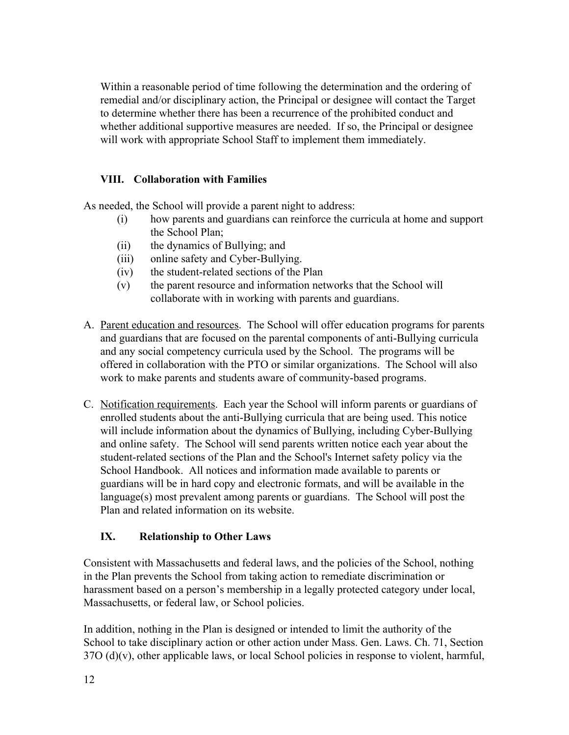Within a reasonable period of time following the determination and the ordering of remedial and/or disciplinary action, the Principal or designee will contact the Target to determine whether there has been a recurrence of the prohibited conduct and whether additional supportive measures are needed. If so, the Principal or designee will work with appropriate School Staff to implement them immediately.

### **VIII. Collaboration with Families**

As needed, the School will provide a parent night to address:

- (i) how parents and guardians can reinforce the curricula at home and support the School Plan;
- (ii) the dynamics of Bullying; and
- (iii) online safety and Cyber-Bullying.
- (iv) the student-related sections of the Plan
- (v) the parent resource and information networks that the School will collaborate with in working with parents and guardians.
- A. Parent education and resources. The School will offer education programs for parents and guardians that are focused on the parental components of anti-Bullying curricula and any social competency curricula used by the School. The programs will be offered in collaboration with the PTO or similar organizations. The School will also work to make parents and students aware of community-based programs.
- C. Notification requirements. Each year the School will inform parents or guardians of enrolled students about the anti-Bullying curricula that are being used. This notice will include information about the dynamics of Bullying, including Cyber-Bullying and online safety. The School will send parents written notice each year about the student-related sections of the Plan and the School's Internet safety policy via the School Handbook. All notices and information made available to parents or guardians will be in hard copy and electronic formats, and will be available in the language(s) most prevalent among parents or guardians. The School will post the Plan and related information on its website.

## **IX. Relationship to Other Laws**

Consistent with Massachusetts and federal laws, and the policies of the School, nothing in the Plan prevents the School from taking action to remediate discrimination or harassment based on a person's membership in a legally protected category under local, Massachusetts, or federal law, or School policies.

In addition, nothing in the Plan is designed or intended to limit the authority of the School to take disciplinary action or other action under Mass. Gen. Laws. Ch. 71, Section  $37O$  (d)(v), other applicable laws, or local School policies in response to violent, harmful,